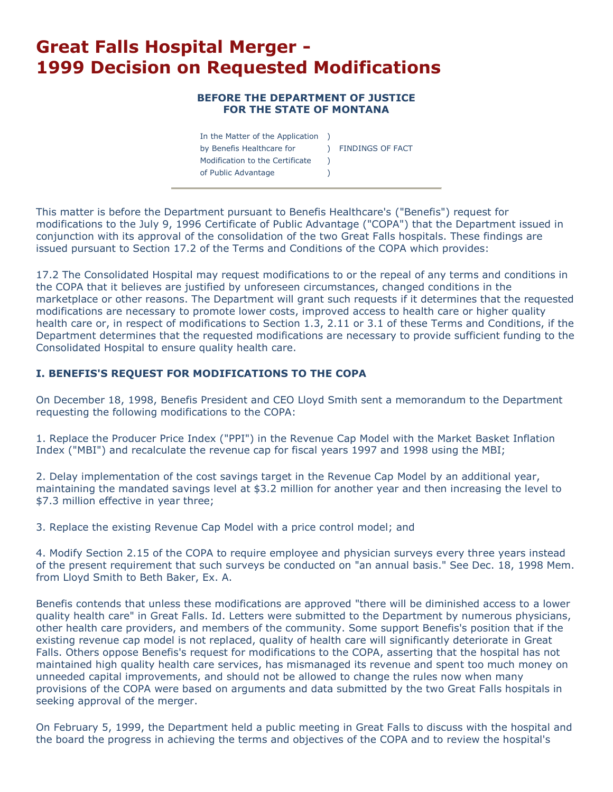# **Great Falls Hospital Merger - 1999 Decision on Requested Modifications**

#### **BEFORE THE DEPARTMENT OF JUSTICE FOR THE STATE OF MONTANA**

| In the Matter of the Application |                         |
|----------------------------------|-------------------------|
| by Benefis Healthcare for        | <b>FINDINGS OF FACT</b> |
| Modification to the Certificate  |                         |
| of Public Advantage              |                         |

This matter is before the Department pursuant to Benefis Healthcare's ("Benefis") request for modifications to the July 9, 1996 Certificate of Public Advantage ("COPA") that the Department issued in conjunction with its approval of the consolidation of the two Great Falls hospitals. These findings are issued pursuant to Section 17.2 of the Terms and Conditions of the COPA which provides:

17.2 The Consolidated Hospital may request modifications to or the repeal of any terms and conditions in the COPA that it believes are justified by unforeseen circumstances, changed conditions in the marketplace or other reasons. The Department will grant such requests if it determines that the requested modifications are necessary to promote lower costs, improved access to health care or higher quality health care or, in respect of modifications to Section 1.3, 2.11 or 3.1 of these Terms and Conditions, if the Department determines that the requested modifications are necessary to provide sufficient funding to the Consolidated Hospital to ensure quality health care.

# **I. BENEFIS'S REQUEST FOR MODIFICATIONS TO THE COPA**

On December 18, 1998, Benefis President and CEO Lloyd Smith sent a memorandum to the Department requesting the following modifications to the COPA:

1. Replace the Producer Price Index ("PPI") in the Revenue Cap Model with the Market Basket Inflation Index ("MBI") and recalculate the revenue cap for fiscal years 1997 and 1998 using the MBI;

2. Delay implementation of the cost savings target in the Revenue Cap Model by an additional year, maintaining the mandated savings level at \$3.2 million for another year and then increasing the level to \$7.3 million effective in year three;

3. Replace the existing Revenue Cap Model with a price control model; and

4. Modify Section 2.15 of the COPA to require employee and physician surveys every three years instead of the present requirement that such surveys be conducted on "an annual basis." See Dec. 18, 1998 Mem. from Lloyd Smith to Beth Baker, Ex. A.

Benefis contends that unless these modifications are approved "there will be diminished access to a lower quality health care" in Great Falls. Id. Letters were submitted to the Department by numerous physicians, other health care providers, and members of the community. Some support Benefis's position that if the existing revenue cap model is not replaced, quality of health care will significantly deteriorate in Great Falls. Others oppose Benefis's request for modifications to the COPA, asserting that the hospital has not maintained high quality health care services, has mismanaged its revenue and spent too much money on unneeded capital improvements, and should not be allowed to change the rules now when many provisions of the COPA were based on arguments and data submitted by the two Great Falls hospitals in seeking approval of the merger.

On February 5, 1999, the Department held a public meeting in Great Falls to discuss with the hospital and the board the progress in achieving the terms and objectives of the COPA and to review the hospital's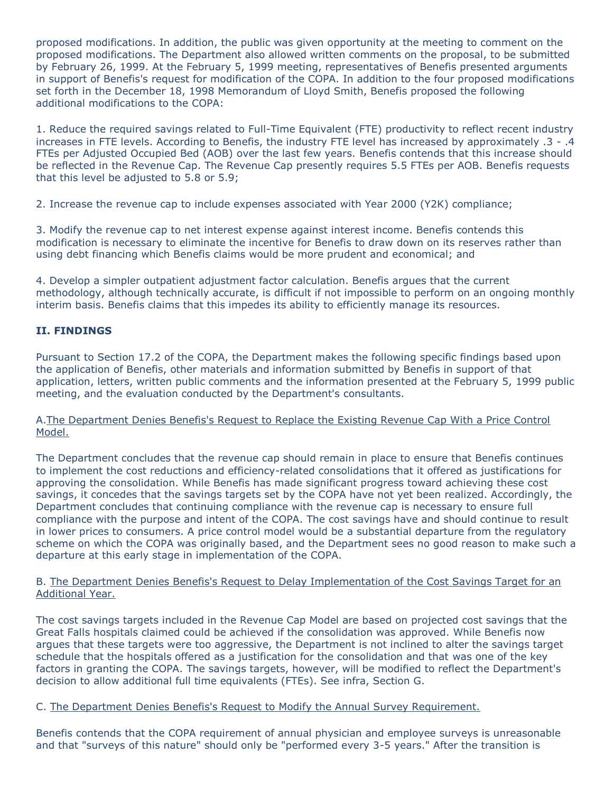proposed modifications. In addition, the public was given opportunity at the meeting to comment on the proposed modifications. The Department also allowed written comments on the proposal, to be submitted by February 26, 1999. At the February 5, 1999 meeting, representatives of Benefis presented arguments in support of Benefis's request for modification of the COPA. In addition to the four proposed modifications set forth in the December 18, 1998 Memorandum of Lloyd Smith, Benefis proposed the following additional modifications to the COPA:

1. Reduce the required savings related to Full-Time Equivalent (FTE) productivity to reflect recent industry increases in FTE levels. According to Benefis, the industry FTE level has increased by approximately .3 - .4 FTEs per Adjusted Occupied Bed (AOB) over the last few years. Benefis contends that this increase should be reflected in the Revenue Cap. The Revenue Cap presently requires 5.5 FTEs per AOB. Benefis requests that this level be adjusted to 5.8 or 5.9;

2. Increase the revenue cap to include expenses associated with Year 2000 (Y2K) compliance;

3. Modify the revenue cap to net interest expense against interest income. Benefis contends this modification is necessary to eliminate the incentive for Benefis to draw down on its reserves rather than using debt financing which Benefis claims would be more prudent and economical; and

4. Develop a simpler outpatient adjustment factor calculation. Benefis argues that the current methodology, although technically accurate, is difficult if not impossible to perform on an ongoing monthly interim basis. Benefis claims that this impedes its ability to efficiently manage its resources.

# **II. FINDINGS**

Pursuant to Section 17.2 of the COPA, the Department makes the following specific findings based upon the application of Benefis, other materials and information submitted by Benefis in support of that application, letters, written public comments and the information presented at the February 5, 1999 public meeting, and the evaluation conducted by the Department's consultants.

A.The Department Denies Benefis's Request to Replace the Existing Revenue Cap With a Price Control Model.

The Department concludes that the revenue cap should remain in place to ensure that Benefis continues to implement the cost reductions and efficiency-related consolidations that it offered as justifications for approving the consolidation. While Benefis has made significant progress toward achieving these cost savings, it concedes that the savings targets set by the COPA have not yet been realized. Accordingly, the Department concludes that continuing compliance with the revenue cap is necessary to ensure full compliance with the purpose and intent of the COPA. The cost savings have and should continue to result in lower prices to consumers. A price control model would be a substantial departure from the regulatory scheme on which the COPA was originally based, and the Department sees no good reason to make such a departure at this early stage in implementation of the COPA.

#### B. The Department Denies Benefis's Request to Delay Implementation of the Cost Savings Target for an Additional Year.

The cost savings targets included in the Revenue Cap Model are based on projected cost savings that the Great Falls hospitals claimed could be achieved if the consolidation was approved. While Benefis now argues that these targets were too aggressive, the Department is not inclined to alter the savings target schedule that the hospitals offered as a justification for the consolidation and that was one of the key factors in granting the COPA. The savings targets, however, will be modified to reflect the Department's decision to allow additional full time equivalents (FTEs). See infra, Section G.

C. The Department Denies Benefis's Request to Modify the Annual Survey Requirement.

Benefis contends that the COPA requirement of annual physician and employee surveys is unreasonable and that "surveys of this nature" should only be "performed every 3-5 years." After the transition is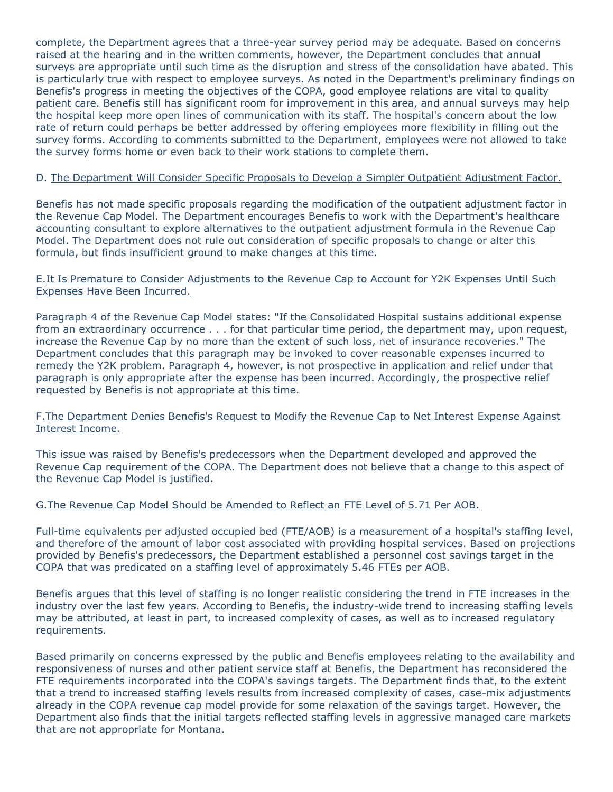complete, the Department agrees that a three-year survey period may be adequate. Based on concerns raised at the hearing and in the written comments, however, the Department concludes that annual surveys are appropriate until such time as the disruption and stress of the consolidation have abated. This is particularly true with respect to employee surveys. As noted in the Department's preliminary findings on Benefis's progress in meeting the objectives of the COPA, good employee relations are vital to quality patient care. Benefis still has significant room for improvement in this area, and annual surveys may help the hospital keep more open lines of communication with its staff. The hospital's concern about the low rate of return could perhaps be better addressed by offering employees more flexibility in filling out the survey forms. According to comments submitted to the Department, employees were not allowed to take the survey forms home or even back to their work stations to complete them.

## D. The Department Will Consider Specific Proposals to Develop a Simpler Outpatient Adjustment Factor.

Benefis has not made specific proposals regarding the modification of the outpatient adjustment factor in the Revenue Cap Model. The Department encourages Benefis to work with the Department's healthcare accounting consultant to explore alternatives to the outpatient adjustment formula in the Revenue Cap Model. The Department does not rule out consideration of specific proposals to change or alter this formula, but finds insufficient ground to make changes at this time.

#### E.It Is Premature to Consider Adjustments to the Revenue Cap to Account for Y2K Expenses Until Such Expenses Have Been Incurred.

Paragraph 4 of the Revenue Cap Model states: "If the Consolidated Hospital sustains additional expense from an extraordinary occurrence . . . for that particular time period, the department may, upon request, increase the Revenue Cap by no more than the extent of such loss, net of insurance recoveries." The Department concludes that this paragraph may be invoked to cover reasonable expenses incurred to remedy the Y2K problem. Paragraph 4, however, is not prospective in application and relief under that paragraph is only appropriate after the expense has been incurred. Accordingly, the prospective relief requested by Benefis is not appropriate at this time.

## F.The Department Denies Benefis's Request to Modify the Revenue Cap to Net Interest Expense Against Interest Income.

This issue was raised by Benefis's predecessors when the Department developed and approved the Revenue Cap requirement of the COPA. The Department does not believe that a change to this aspect of the Revenue Cap Model is justified.

## G.The Revenue Cap Model Should be Amended to Reflect an FTE Level of 5.71 Per AOB.

Full-time equivalents per adjusted occupied bed (FTE/AOB) is a measurement of a hospital's staffing level, and therefore of the amount of labor cost associated with providing hospital services. Based on projections provided by Benefis's predecessors, the Department established a personnel cost savings target in the COPA that was predicated on a staffing level of approximately 5.46 FTEs per AOB.

Benefis argues that this level of staffing is no longer realistic considering the trend in FTE increases in the industry over the last few years. According to Benefis, the industry-wide trend to increasing staffing levels may be attributed, at least in part, to increased complexity of cases, as well as to increased regulatory requirements.

Based primarily on concerns expressed by the public and Benefis employees relating to the availability and responsiveness of nurses and other patient service staff at Benefis, the Department has reconsidered the FTE requirements incorporated into the COPA's savings targets. The Department finds that, to the extent that a trend to increased staffing levels results from increased complexity of cases, case-mix adjustments already in the COPA revenue cap model provide for some relaxation of the savings target. However, the Department also finds that the initial targets reflected staffing levels in aggressive managed care markets that are not appropriate for Montana.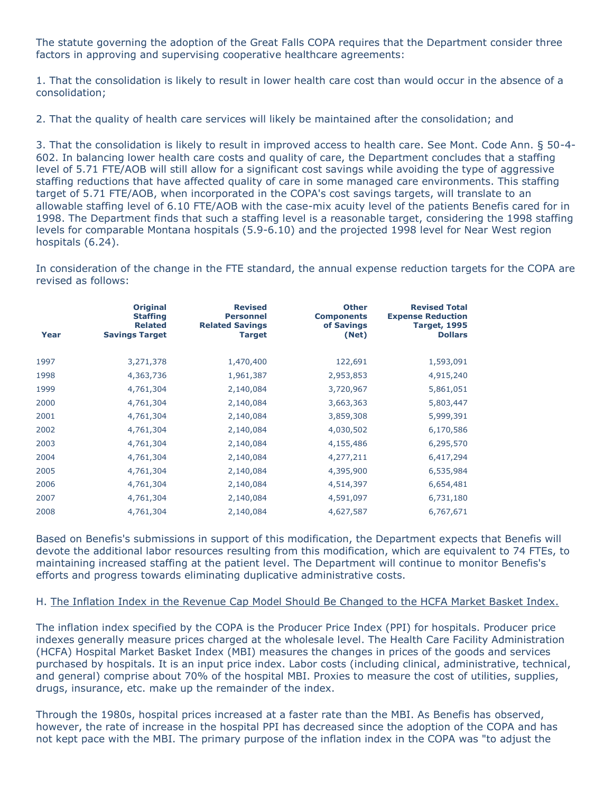The statute governing the adoption of the Great Falls COPA requires that the Department consider three factors in approving and supervising cooperative healthcare agreements:

1. That the consolidation is likely to result in lower health care cost than would occur in the absence of a consolidation;

2. That the quality of health care services will likely be maintained after the consolidation; and

3. That the consolidation is likely to result in improved access to health care. See Mont. Code Ann. § 50-4- 602. In balancing lower health care costs and quality of care, the Department concludes that a staffing level of 5.71 FTE/AOB will still allow for a significant cost savings while avoiding the type of aggressive staffing reductions that have affected quality of care in some managed care environments. This staffing target of 5.71 FTE/AOB, when incorporated in the COPA's cost savings targets, will translate to an allowable staffing level of 6.10 FTE/AOB with the case-mix acuity level of the patients Benefis cared for in 1998. The Department finds that such a staffing level is a reasonable target, considering the 1998 staffing levels for comparable Montana hospitals (5.9-6.10) and the projected 1998 level for Near West region hospitals (6.24).

In consideration of the change in the FTE standard, the annual expense reduction targets for the COPA are revised as follows:

| Year | <b>Original</b><br><b>Staffing</b><br><b>Related</b><br><b>Savings Target</b> | <b>Revised</b><br><b>Personnel</b><br><b>Related Savings</b><br><b>Target</b> | <b>Other</b><br><b>Components</b><br>of Savings<br>(Net) | <b>Revised Total</b><br><b>Expense Reduction</b><br><b>Target, 1995</b><br><b>Dollars</b> |
|------|-------------------------------------------------------------------------------|-------------------------------------------------------------------------------|----------------------------------------------------------|-------------------------------------------------------------------------------------------|
| 1997 | 3,271,378                                                                     | 1,470,400                                                                     | 122,691                                                  | 1,593,091                                                                                 |
| 1998 | 4,363,736                                                                     | 1,961,387                                                                     | 2,953,853                                                | 4,915,240                                                                                 |
| 1999 | 4,761,304                                                                     | 2,140,084                                                                     | 3,720,967                                                | 5,861,051                                                                                 |
| 2000 | 4,761,304                                                                     | 2,140,084                                                                     | 3,663,363                                                | 5,803,447                                                                                 |
| 2001 | 4,761,304                                                                     | 2,140,084                                                                     | 3,859,308                                                | 5,999,391                                                                                 |
| 2002 | 4,761,304                                                                     | 2,140,084                                                                     | 4,030,502                                                | 6,170,586                                                                                 |
| 2003 | 4,761,304                                                                     | 2,140,084                                                                     | 4,155,486                                                | 6,295,570                                                                                 |
| 2004 | 4,761,304                                                                     | 2,140,084                                                                     | 4,277,211                                                | 6,417,294                                                                                 |
| 2005 | 4,761,304                                                                     | 2,140,084                                                                     | 4,395,900                                                | 6,535,984                                                                                 |
| 2006 | 4,761,304                                                                     | 2,140,084                                                                     | 4,514,397                                                | 6,654,481                                                                                 |
| 2007 | 4,761,304                                                                     | 2,140,084                                                                     | 4,591,097                                                | 6,731,180                                                                                 |
| 2008 | 4,761,304                                                                     | 2,140,084                                                                     | 4,627,587                                                | 6,767,671                                                                                 |

Based on Benefis's submissions in support of this modification, the Department expects that Benefis will devote the additional labor resources resulting from this modification, which are equivalent to 74 FTEs, to maintaining increased staffing at the patient level. The Department will continue to monitor Benefis's efforts and progress towards eliminating duplicative administrative costs.

## H. The Inflation Index in the Revenue Cap Model Should Be Changed to the HCFA Market Basket Index.

The inflation index specified by the COPA is the Producer Price Index (PPI) for hospitals. Producer price indexes generally measure prices charged at the wholesale level. The Health Care Facility Administration (HCFA) Hospital Market Basket Index (MBI) measures the changes in prices of the goods and services purchased by hospitals. It is an input price index. Labor costs (including clinical, administrative, technical, and general) comprise about 70% of the hospital MBI. Proxies to measure the cost of utilities, supplies, drugs, insurance, etc. make up the remainder of the index.

Through the 1980s, hospital prices increased at a faster rate than the MBI. As Benefis has observed, however, the rate of increase in the hospital PPI has decreased since the adoption of the COPA and has not kept pace with the MBI. The primary purpose of the inflation index in the COPA was "to adjust the